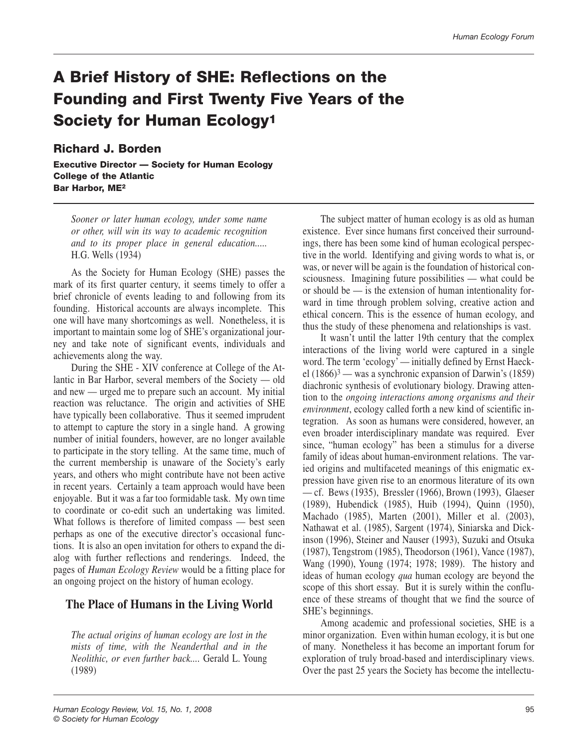# **A Brief History of SHE: Reflections on the Founding and First Twenty Five Years of the Society for Human Ecology1**

#### **Richard J. Borden**

**Executive Director — Society for Human Ecology College of the Atlantic Bar Harbor, ME2**

*Sooner or later human ecology, under some name or other, will win its way to academic recognition and to its proper place in general education.....* H.G. Wells (1934)

As the Society for Human Ecology (SHE) passes the mark of its first quarter century, it seems timely to offer a brief chronicle of events leading to and following from its founding. Historical accounts are always incomplete. This one will have many shortcomings as well. Nonetheless, it is important to maintain some log of SHE's organizational journey and take note of significant events, individuals and achievements along the way.

During the SHE - XIV conference at College of the Atlantic in Bar Harbor, several members of the Society — old and new — urged me to prepare such an account. My initial reaction was reluctance. The origin and activities of SHE have typically been collaborative. Thus it seemed imprudent to attempt to capture the story in a single hand. A growing number of initial founders, however, are no longer available to participate in the story telling. At the same time, much of the current membership is unaware of the Society's early years, and others who might contribute have not been active in recent years. Certainly a team approach would have been enjoyable. But it was a far too formidable task. My own time to coordinate or co-edit such an undertaking was limited. What follows is therefore of limited compass — best seen perhaps as one of the executive director's occasional functions. It is also an open invitation for others to expand the dialog with further reflections and renderings. Indeed, the pages of *Human Ecology Review* would be a fitting place for an ongoing project on the history of human ecology.

## **The Place of Humans in the Living World**

*The actual origins of human ecology are lost in the mists of time, with the Neanderthal and in the Neolithic, or even further back....* Gerald L. Young (1989)

The subject matter of human ecology is as old as human existence. Ever since humans first conceived their surroundings, there has been some kind of human ecological perspective in the world. Identifying and giving words to what is, or was, or never will be again is the foundation of historical consciousness. Imagining future possibilities — what could be or should be  $-$  is the extension of human intentionality forward in time through problem solving, creative action and ethical concern. This is the essence of human ecology, and thus the study of these phenomena and relationships is vast.

It wasn't until the latter 19th century that the complex interactions of the living world were captured in a single word. The term 'ecology' — initially defined by Ernst Haeckel  $(1866)^3$  — was a synchronic expansion of Darwin's  $(1859)$ diachronic synthesis of evolutionary biology. Drawing attention to the *ongoing interactions among organisms and their environment*, ecology called forth a new kind of scientific integration. As soon as humans were considered, however, an even broader interdisciplinary mandate was required. Ever since, "human ecology" has been a stimulus for a diverse family of ideas about human-environment relations. The varied origins and multifaceted meanings of this enigmatic expression have given rise to an enormous literature of its own — cf. Bews (1935), Bressler (1966), Brown (1993), Glaeser (1989), Hubendick (1985), Huib (1994), Quinn (1950), Machado (1985), Marten (2001), Miller et al. (2003), Nathawat et al. (1985), Sargent (1974), Siniarska and Dickinson (1996), Steiner and Nauser (1993), Suzuki and Otsuka (1987), Tengstrom (1985), Theodorson (1961), Vance (1987), Wang (1990), Young (1974; 1978; 1989). The history and ideas of human ecology *qua* human ecology are beyond the scope of this short essay. But it is surely within the confluence of these streams of thought that we find the source of SHE's beginnings.

Among academic and professional societies, SHE is a minor organization. Even within human ecology, it is but one of many. Nonetheless it has become an important forum for exploration of truly broad-based and interdisciplinary views. Over the past 25 years the Society has become the intellectu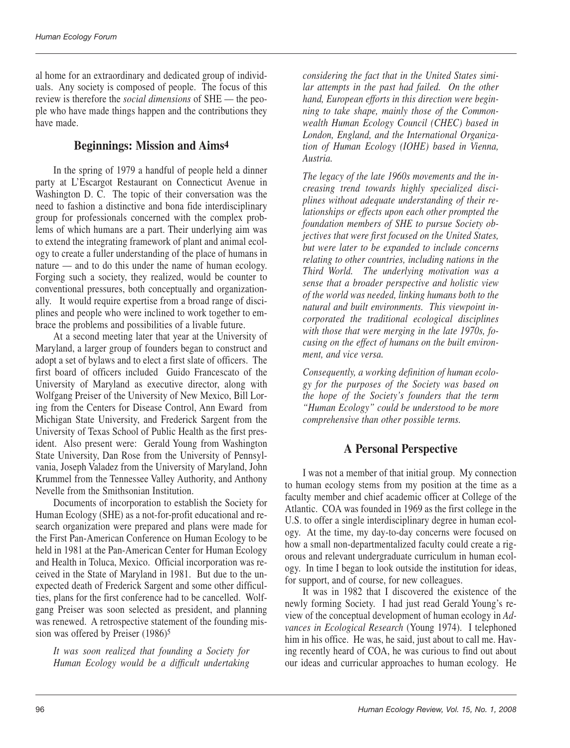al home for an extraordinary and dedicated group of individuals. Any society is composed of people. The focus of this review is therefore the *social dimensions* of SHE — the people who have made things happen and the contributions they have made.

# **Beginnings: Mission and Aims4**

In the spring of 1979 a handful of people held a dinner party at L'Escargot Restaurant on Connecticut Avenue in Washington D. C. The topic of their conversation was the need to fashion a distinctive and bona fide interdisciplinary group for professionals concerned with the complex problems of which humans are a part. Their underlying aim was to extend the integrating framework of plant and animal ecology to create a fuller understanding of the place of humans in nature — and to do this under the name of human ecology. Forging such a society, they realized, would be counter to conventional pressures, both conceptually and organizationally. It would require expertise from a broad range of disciplines and people who were inclined to work together to embrace the problems and possibilities of a livable future.

At a second meeting later that year at the University of Maryland, a larger group of founders began to construct and adopt a set of bylaws and to elect a first slate of officers. The first board of officers included Guido Francescato of the University of Maryland as executive director, along with Wolfgang Preiser of the University of New Mexico, Bill Loring from the Centers for Disease Control, Ann Eward from Michigan State University, and Frederick Sargent from the University of Texas School of Public Health as the first president. Also present were: Gerald Young from Washington State University, Dan Rose from the University of Pennsylvania, Joseph Valadez from the University of Maryland, John Krummel from the Tennessee Valley Authority, and Anthony Nevelle from the Smithsonian Institution.

Documents of incorporation to establish the Society for Human Ecology (SHE) as a not-for-profit educational and research organization were prepared and plans were made for the First Pan-American Conference on Human Ecology to be held in 1981 at the Pan-American Center for Human Ecology and Health in Toluca, Mexico. Official incorporation was received in the State of Maryland in 1981. But due to the unexpected death of Frederick Sargent and some other difficulties, plans for the first conference had to be cancelled. Wolfgang Preiser was soon selected as president, and planning was renewed. A retrospective statement of the founding mission was offered by Preiser (1986)5

*It was soon realized that founding a Society for Human Ecology would be a difficult undertaking*

*considering the fact that in the United States similar attempts in the past had failed. On the other hand, European efforts in this direction were beginning to take shape, mainly those of the Commonwealth Human Ecology Council (CHEC) based in London, England, and the International Organization of Human Ecology (IOHE) based in Vienna, Austria.*

*The legacy of the late 1960s movements and the increasing trend towards highly specialized disciplines without adequate understanding of their relationships or effects upon each other prompted the foundation members of SHE to pursue Society objectives that were first focused on the United States, but were later to be expanded to include concerns relating to other countries, including nations in the Third World. The underlying motivation was a sense that a broader perspective and holistic view of the world was needed, linking humans both to the natural and built environments. This viewpoint incorporated the traditional ecological disciplines with those that were merging in the late 1970s, focusing on the effect of humans on the built environment, and vice versa.*

*Consequently, a working definition of human ecology for the purposes of the Society was based on the hope of the Society's founders that the term "Human Ecology" could be understood to be more comprehensive than other possible terms.*

# **A Personal Perspective**

I was not a member of that initial group. My connection to human ecology stems from my position at the time as a faculty member and chief academic officer at College of the Atlantic. COA was founded in 1969 as the first college in the U.S. to offer a single interdisciplinary degree in human ecology. At the time, my day-to-day concerns were focused on how a small non-departmentalized faculty could create a rigorous and relevant undergraduate curriculum in human ecology. In time I began to look outside the institution for ideas, for support, and of course, for new colleagues.

It was in 1982 that I discovered the existence of the newly forming Society. I had just read Gerald Young's review of the conceptual development of human ecology in *Advances in Ecological Research* (Young 1974). I telephoned him in his office. He was, he said, just about to call me. Having recently heard of COA, he was curious to find out about our ideas and curricular approaches to human ecology. He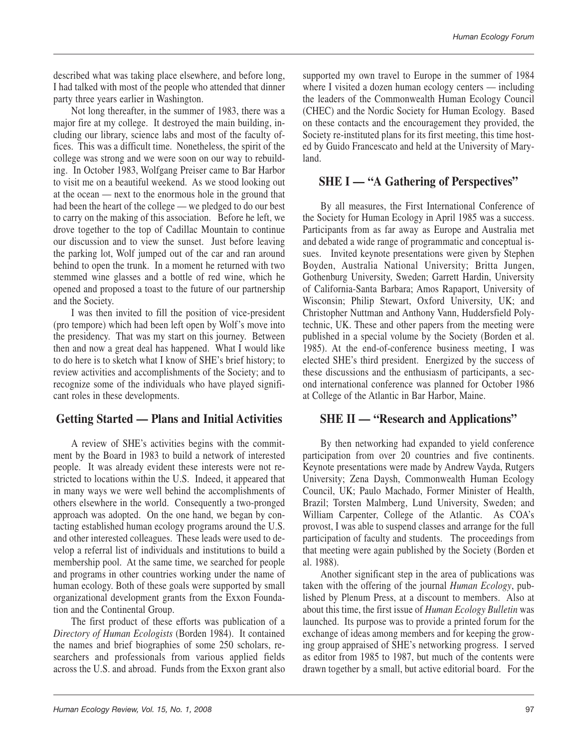described what was taking place elsewhere, and before long, I had talked with most of the people who attended that dinner party three years earlier in Washington.

Not long thereafter, in the summer of 1983, there was a major fire at my college. It destroyed the main building, including our library, science labs and most of the faculty offices. This was a difficult time. Nonetheless, the spirit of the college was strong and we were soon on our way to rebuilding. In October 1983, Wolfgang Preiser came to Bar Harbor to visit me on a beautiful weekend. As we stood looking out at the ocean — next to the enormous hole in the ground that had been the heart of the college — we pledged to do our best to carry on the making of this association. Before he left, we drove together to the top of Cadillac Mountain to continue our discussion and to view the sunset. Just before leaving the parking lot, Wolf jumped out of the car and ran around behind to open the trunk. In a moment he returned with two stemmed wine glasses and a bottle of red wine, which he opened and proposed a toast to the future of our partnership and the Society.

I was then invited to fill the position of vice-president (pro tempore) which had been left open by Wolf's move into the presidency. That was my start on this journey. Between then and now a great deal has happened. What I would like to do here is to sketch what I know of SHE's brief history; to review activities and accomplishments of the Society; and to recognize some of the individuals who have played significant roles in these developments.

# **Getting Started — Plans and Initial Activities**

A review of SHE's activities begins with the commitment by the Board in 1983 to build a network of interested people. It was already evident these interests were not restricted to locations within the U.S. Indeed, it appeared that in many ways we were well behind the accomplishments of others elsewhere in the world. Consequently a two-pronged approach was adopted. On the one hand, we began by contacting established human ecology programs around the U.S. and other interested colleagues. These leads were used to develop a referral list of individuals and institutions to build a membership pool. At the same time, we searched for people and programs in other countries working under the name of human ecology. Both of these goals were supported by small organizational development grants from the Exxon Foundation and the Continental Group.

The first product of these efforts was publication of a *Directory of Human Ecologists* (Borden 1984). It contained the names and brief biographies of some 250 scholars, researchers and professionals from various applied fields across the U.S. and abroad. Funds from the Exxon grant also supported my own travel to Europe in the summer of 1984 where I visited a dozen human ecology centers — including the leaders of the Commonwealth Human Ecology Council (CHEC) and the Nordic Society for Human Ecology. Based on these contacts and the encouragement they provided, the Society re-instituted plans for its first meeting, this time hosted by Guido Francescato and held at the University of Maryland.

## **SHE I — "A Gathering of Perspectives"**

By all measures, the First International Conference of the Society for Human Ecology in April 1985 was a success. Participants from as far away as Europe and Australia met and debated a wide range of programmatic and conceptual issues. Invited keynote presentations were given by Stephen Boyden, Australia National University; Britta Jungen, Gothenburg University, Sweden; Garrett Hardin, University of California-Santa Barbara; Amos Rapaport, University of Wisconsin; Philip Stewart, Oxford University, UK; and Christopher Nuttman and Anthony Vann, Huddersfield Polytechnic, UK. These and other papers from the meeting were published in a special volume by the Society (Borden et al. 1985). At the end-of-conference business meeting, I was elected SHE's third president. Energized by the success of these discussions and the enthusiasm of participants, a second international conference was planned for October 1986 at College of the Atlantic in Bar Harbor, Maine.

## **SHE II — "Research and Applications"**

By then networking had expanded to yield conference participation from over 20 countries and five continents. Keynote presentations were made by Andrew Vayda, Rutgers University; Zena Daysh, Commonwealth Human Ecology Council, UK; Paulo Machado, Former Minister of Health, Brazil; Torsten Malmberg, Lund University, Sweden; and William Carpenter, College of the Atlantic. As COA's provost, I was able to suspend classes and arrange for the full participation of faculty and students. The proceedings from that meeting were again published by the Society (Borden et al. 1988).

Another significant step in the area of publications was taken with the offering of the journal *Human Ecology*, published by Plenum Press, at a discount to members. Also at about this time, the first issue of *Human Ecology Bulletin* was launched. Its purpose was to provide a printed forum for the exchange of ideas among members and for keeping the growing group appraised of SHE's networking progress. I served as editor from 1985 to 1987, but much of the contents were drawn together by a small, but active editorial board. For the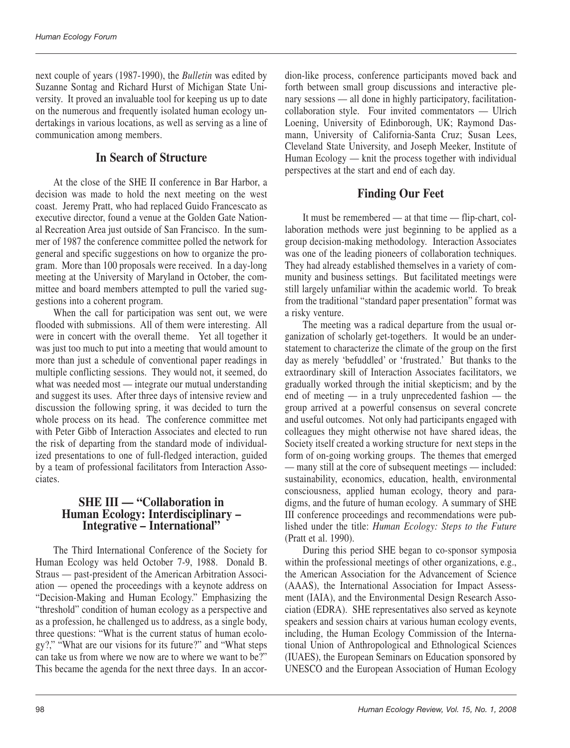next couple of years (1987-1990), the *Bulletin* was edited by Suzanne Sontag and Richard Hurst of Michigan State University. It proved an invaluable tool for keeping us up to date on the numerous and frequently isolated human ecology undertakings in various locations, as well as serving as a line of communication among members.

## **In Search of Structure**

At the close of the SHE II conference in Bar Harbor, a decision was made to hold the next meeting on the west coast. Jeremy Pratt, who had replaced Guido Francescato as executive director, found a venue at the Golden Gate National Recreation Area just outside of San Francisco. In the summer of 1987 the conference committee polled the network for general and specific suggestions on how to organize the program. More than 100 proposals were received. In a day-long meeting at the University of Maryland in October, the committee and board members attempted to pull the varied suggestions into a coherent program.

When the call for participation was sent out, we were flooded with submissions. All of them were interesting. All were in concert with the overall theme. Yet all together it was just too much to put into a meeting that would amount to more than just a schedule of conventional paper readings in multiple conflicting sessions. They would not, it seemed, do what was needed most — integrate our mutual understanding and suggest its uses. After three days of intensive review and discussion the following spring, it was decided to turn the whole process on its head. The conference committee met with Peter Gibb of Interaction Associates and elected to run the risk of departing from the standard mode of individualized presentations to one of full-fledged interaction, guided by a team of professional facilitators from Interaction Associates.

#### **SHE III — "Collaboration in Human Ecology: Interdisciplinary – Integrative – International"**

The Third International Conference of the Society for Human Ecology was held October 7-9, 1988. Donald B. Straus — past-president of the American Arbitration Association — opened the proceedings with a keynote address on "Decision-Making and Human Ecology." Emphasizing the "threshold" condition of human ecology as a perspective and as a profession, he challenged us to address, as a single body, three questions: "What is the current status of human ecology?," "What are our visions for its future?" and "What steps can take us from where we now are to where we want to be?" This became the agenda for the next three days. In an accor-

dion-like process, conference participants moved back and forth between small group discussions and interactive plenary sessions — all done in highly participatory, facilitationcollaboration style. Four invited commentators — Ulrich Loening, University of Edinborough, UK; Raymond Dasmann, University of California-Santa Cruz; Susan Lees, Cleveland State University, and Joseph Meeker, Institute of Human Ecology — knit the process together with individual perspectives at the start and end of each day.

# **Finding Our Feet**

It must be remembered — at that time — flip-chart, collaboration methods were just beginning to be applied as a group decision-making methodology. Interaction Associates was one of the leading pioneers of collaboration techniques. They had already established themselves in a variety of community and business settings. But facilitated meetings were still largely unfamiliar within the academic world. To break from the traditional "standard paper presentation" format was a risky venture.

The meeting was a radical departure from the usual organization of scholarly get-togethers. It would be an understatement to characterize the climate of the group on the first day as merely 'befuddled' or 'frustrated.' But thanks to the extraordinary skill of Interaction Associates facilitators, we gradually worked through the initial skepticism; and by the end of meeting — in a truly unprecedented fashion — the group arrived at a powerful consensus on several concrete and useful outcomes. Not only had participants engaged with colleagues they might otherwise not have shared ideas, the Society itself created a working structure for next steps in the form of on-going working groups. The themes that emerged — many still at the core of subsequent meetings — included: sustainability, economics, education, health, environmental consciousness, applied human ecology, theory and paradigms, and the future of human ecology. A summary of SHE III conference proceedings and recommendations were published under the title: *Human Ecology: Steps to the Future* (Pratt et al. 1990).

During this period SHE began to co-sponsor symposia within the professional meetings of other organizations, e.g., the American Association for the Advancement of Science (AAAS), the International Association for Impact Assessment (IAIA), and the Environmental Design Research Association (EDRA). SHE representatives also served as keynote speakers and session chairs at various human ecology events, including, the Human Ecology Commission of the International Union of Anthropological and Ethnological Sciences (IUAES), the European Seminars on Education sponsored by UNESCO and the European Association of Human Ecology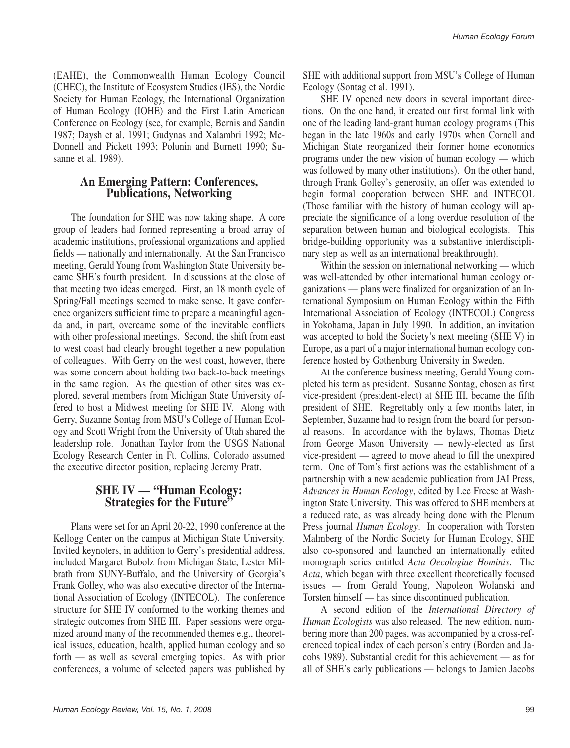(EAHE), the Commonwealth Human Ecology Council (CHEC), the Institute of Ecosystem Studies (IES), the Nordic Society for Human Ecology, the International Organization of Human Ecology (IOHE) and the First Latin American Conference on Ecology (see, for example, Bernis and Sandin 1987; Daysh et al. 1991; Gudynas and Xalambri 1992; Mc-Donnell and Pickett 1993; Polunin and Burnett 1990; Susanne et al. 1989).

#### **An Emerging Pattern: Conferences, Publications, Networking**

The foundation for SHE was now taking shape. A core group of leaders had formed representing a broad array of academic institutions, professional organizations and applied fields — nationally and internationally. At the San Francisco meeting, Gerald Young from Washington State University became SHE's fourth president. In discussions at the close of that meeting two ideas emerged. First, an 18 month cycle of Spring/Fall meetings seemed to make sense. It gave conference organizers sufficient time to prepare a meaningful agenda and, in part, overcame some of the inevitable conflicts with other professional meetings. Second, the shift from east to west coast had clearly brought together a new population of colleagues. With Gerry on the west coast, however, there was some concern about holding two back-to-back meetings in the same region. As the question of other sites was explored, several members from Michigan State University offered to host a Midwest meeting for SHE IV. Along with Gerry, Suzanne Sontag from MSU's College of Human Ecology and Scott Wright from the University of Utah shared the leadership role. Jonathan Taylor from the USGS National Ecology Research Center in Ft. Collins, Colorado assumed the executive director position, replacing Jeremy Pratt.

## **SHE IV — "Human Ecology: Strategies for the Future"**

Plans were set for an April 20-22, 1990 conference at the Kellogg Center on the campus at Michigan State University. Invited keynoters, in addition to Gerry's presidential address, included Margaret Bubolz from Michigan State, Lester Milbrath from SUNY-Buffalo, and the University of Georgia's Frank Golley, who was also executive director of the International Association of Ecology (INTECOL). The conference structure for SHE IV conformed to the working themes and strategic outcomes from SHE III. Paper sessions were organized around many of the recommended themes e.g., theoretical issues, education, health, applied human ecology and so forth — as well as several emerging topics. As with prior conferences, a volume of selected papers was published by

SHE with additional support from MSU's College of Human Ecology (Sontag et al. 1991).

SHE IV opened new doors in several important directions. On the one hand, it created our first formal link with one of the leading land-grant human ecology programs (This began in the late 1960s and early 1970s when Cornell and Michigan State reorganized their former home economics programs under the new vision of human ecology — which was followed by many other institutions). On the other hand, through Frank Golley's generosity, an offer was extended to begin formal cooperation between SHE and INTECOL (Those familiar with the history of human ecology will appreciate the significance of a long overdue resolution of the separation between human and biological ecologists. This bridge-building opportunity was a substantive interdisciplinary step as well as an international breakthrough).

Within the session on international networking — which was well-attended by other international human ecology organizations — plans were finalized for organization of an International Symposium on Human Ecology within the Fifth International Association of Ecology (INTECOL) Congress in Yokohama, Japan in July 1990. In addition, an invitation was accepted to hold the Society's next meeting (SHE V) in Europe, as a part of a major international human ecology conference hosted by Gothenburg University in Sweden.

At the conference business meeting, Gerald Young completed his term as president. Susanne Sontag, chosen as first vice-president (president-elect) at SHE III, became the fifth president of SHE. Regrettably only a few months later, in September, Suzanne had to resign from the board for personal reasons. In accordance with the bylaws, Thomas Dietz from George Mason University — newly-elected as first vice-president — agreed to move ahead to fill the unexpired term. One of Tom's first actions was the establishment of a partnership with a new academic publication from JAI Press, *Advances in Human Ecology*, edited by Lee Freese at Washington State University. This was offered to SHE members at a reduced rate, as was already being done with the Plenum Press journal *Human Ecology*. In cooperation with Torsten Malmberg of the Nordic Society for Human Ecology, SHE also co-sponsored and launched an internationally edited monograph series entitled *Acta Oecologiae Hominis*. The *Acta*, which began with three excellent theoretically focused issues — from Gerald Young, Napoleon Wolanski and Torsten himself — has since discontinued publication.

A second edition of the *International Directory of Human Ecologists* was also released. The new edition, numbering more than 200 pages, was accompanied by a cross-referenced topical index of each person's entry (Borden and Jacobs 1989). Substantial credit for this achievement — as for all of SHE's early publications — belongs to Jamien Jacobs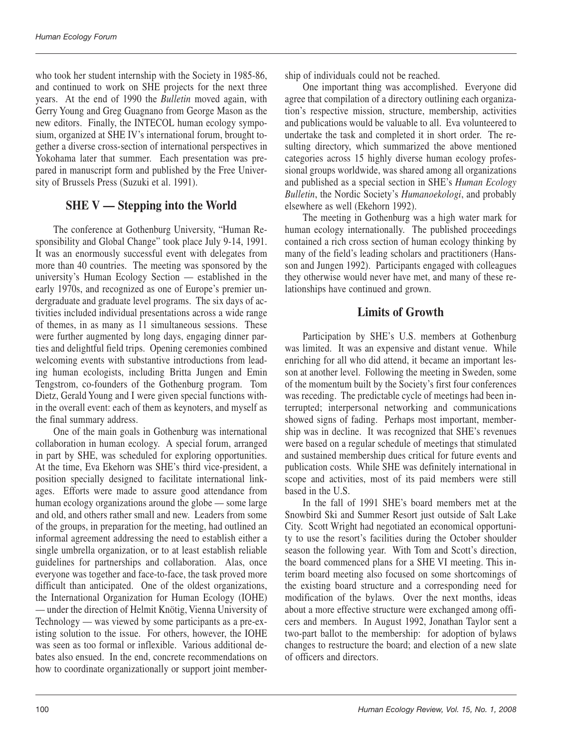who took her student internship with the Society in 1985-86, and continued to work on SHE projects for the next three years. At the end of 1990 the *Bulletin* moved again, with Gerry Young and Greg Guagnano from George Mason as the new editors. Finally, the INTECOL human ecology symposium, organized at SHE IV's international forum, brought together a diverse cross-section of international perspectives in Yokohama later that summer. Each presentation was prepared in manuscript form and published by the Free University of Brussels Press (Suzuki et al. 1991).

# **SHE V — Stepping into the World**

The conference at Gothenburg University, "Human Responsibility and Global Change" took place July 9-14, 1991. It was an enormously successful event with delegates from more than 40 countries. The meeting was sponsored by the university's Human Ecology Section — established in the early 1970s, and recognized as one of Europe's premier undergraduate and graduate level programs. The six days of activities included individual presentations across a wide range of themes, in as many as  $11$  simultaneous sessions. These were further augmented by long days, engaging dinner parties and delightful field trips. Opening ceremonies combined welcoming events with substantive introductions from leading human ecologists, including Britta Jungen and Emin Tengstrom, co-founders of the Gothenburg program. Tom Dietz, Gerald Young and I were given special functions within the overall event: each of them as keynoters, and myself as the final summary address.

One of the main goals in Gothenburg was international collaboration in human ecology. A special forum, arranged in part by SHE, was scheduled for exploring opportunities. At the time, Eva Ekehorn was SHE's third vice-president, a position specially designed to facilitate international linkages. Efforts were made to assure good attendance from human ecology organizations around the globe — some large and old, and others rather small and new. Leaders from some of the groups, in preparation for the meeting, had outlined an informal agreement addressing the need to establish either a single umbrella organization, or to at least establish reliable guidelines for partnerships and collaboration. Alas, once everyone was together and face-to-face, the task proved more difficult than anticipated. One of the oldest organizations, the International Organization for Human Ecology (IOHE) — under the direction of Helmit Knötig, Vienna University of Technology — was viewed by some participants as a pre-existing solution to the issue. For others, however, the IOHE was seen as too formal or inflexible. Various additional debates also ensued. In the end, concrete recommendations on how to coordinate organizationally or support joint membership of individuals could not be reached.

One important thing was accomplished. Everyone did agree that compilation of a directory outlining each organization's respective mission, structure, membership, activities and publications would be valuable to all. Eva volunteered to undertake the task and completed it in short order. The resulting directory, which summarized the above mentioned categories across 15 highly diverse human ecology professional groups worldwide, was shared among all organizations and published as a special section in SHE's *Human Ecology Bulletin*, the Nordic Society's *Humanoekologi*, and probably elsewhere as well (Ekehorn 1992).

The meeting in Gothenburg was a high water mark for human ecology internationally. The published proceedings contained a rich cross section of human ecology thinking by many of the field's leading scholars and practitioners (Hansson and Jungen 1992). Participants engaged with colleagues they otherwise would never have met, and many of these relationships have continued and grown.

# **Limits of Growth**

Participation by SHE's U.S. members at Gothenburg was limited. It was an expensive and distant venue. While enriching for all who did attend, it became an important lesson at another level. Following the meeting in Sweden, some of the momentum built by the Society's first four conferences was receding. The predictable cycle of meetings had been interrupted; interpersonal networking and communications showed signs of fading. Perhaps most important, membership was in decline. It was recognized that SHE's revenues were based on a regular schedule of meetings that stimulated and sustained membership dues critical for future events and publication costs. While SHE was definitely international in scope and activities, most of its paid members were still based in the U.S.

In the fall of 1991 SHE's board members met at the Snowbird Ski and Summer Resort just outside of Salt Lake City. Scott Wright had negotiated an economical opportunity to use the resort's facilities during the October shoulder season the following year. With Tom and Scott's direction, the board commenced plans for a SHE VI meeting. This interim board meeting also focused on some shortcomings of the existing board structure and a corresponding need for modification of the bylaws. Over the next months, ideas about a more effective structure were exchanged among officers and members. In August 1992, Jonathan Taylor sent a two-part ballot to the membership: for adoption of bylaws changes to restructure the board; and election of a new slate of officers and directors.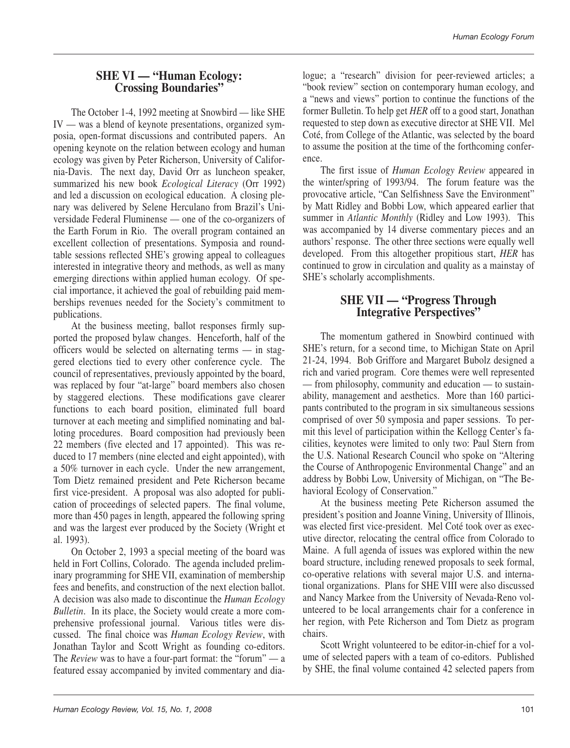#### **SHE VI — "Human Ecology: Crossing Boundaries"**

The October 1-4, 1992 meeting at Snowbird — like SHE IV — was a blend of keynote presentations, organized symposia, open-format discussions and contributed papers. An opening keynote on the relation between ecology and human ecology was given by Peter Richerson, University of California-Davis. The next day, David Orr as luncheon speaker, summarized his new book *Ecological Literacy* (Orr 1992) and led a discussion on ecological education. A closing plenary was delivered by Selene Herculano from Brazil's Universidade Federal Fluminense — one of the co-organizers of the Earth Forum in Rio. The overall program contained an excellent collection of presentations. Symposia and roundtable sessions reflected SHE's growing appeal to colleagues interested in integrative theory and methods, as well as many emerging directions within applied human ecology. Of special importance, it achieved the goal of rebuilding paid memberships revenues needed for the Society's commitment to publications.

At the business meeting, ballot responses firmly supported the proposed bylaw changes. Henceforth, half of the officers would be selected on alternating terms — in staggered elections tied to every other conference cycle. The council of representatives, previously appointed by the board, was replaced by four "at-large" board members also chosen by staggered elections. These modifications gave clearer functions to each board position, eliminated full board turnover at each meeting and simplified nominating and balloting procedures. Board composition had previously been 22 members (five elected and 17 appointed). This was reduced to 17 members (nine elected and eight appointed), with a 50% turnover in each cycle. Under the new arrangement, Tom Dietz remained president and Pete Richerson became first vice-president. A proposal was also adopted for publication of proceedings of selected papers. The final volume, more than 450 pages in length, appeared the following spring and was the largest ever produced by the Society (Wright et al. 1993).

On October 2, 1993 a special meeting of the board was held in Fort Collins, Colorado. The agenda included preliminary programming for SHE VII, examination of membership fees and benefits, and construction of the next election ballot. A decision was also made to discontinue the *Human Ecology Bulletin*. In its place, the Society would create a more comprehensive professional journal. Various titles were discussed. The final choice was *Human Ecology Review*, with Jonathan Taylor and Scott Wright as founding co-editors. The *Review* was to have a four-part format: the "forum" — a featured essay accompanied by invited commentary and dialogue; a "research" division for peer-reviewed articles; a "book review" section on contemporary human ecology, and a "news and views" portion to continue the functions of the former Bulletin. To help get *HER* off to a good start, Jonathan requested to step down as executive director at SHE VII. Mel Coté, from College of the Atlantic, was selected by the board to assume the position at the time of the forthcoming conference.

The first issue of *Human Ecology Review* appeared in the winter/spring of 1993/94. The forum feature was the provocative article, "Can Selfishness Save the Environment" by Matt Ridley and Bobbi Low, which appeared earlier that summer in *Atlantic Monthly* (Ridley and Low 1993). This was accompanied by 14 diverse commentary pieces and an authors' response. The other three sections were equally well developed. From this altogether propitious start, *HER* has continued to grow in circulation and quality as a mainstay of SHE's scholarly accomplishments.

#### **SHE VII — "Progress Through Integrative Perspectives"**

The momentum gathered in Snowbird continued with SHE's return, for a second time, to Michigan State on April 21-24, 1994. Bob Griffore and Margaret Bubolz designed a rich and varied program. Core themes were well represented — from philosophy, community and education — to sustainability, management and aesthetics. More than 160 participants contributed to the program in six simultaneous sessions comprised of over 50 symposia and paper sessions. To permit this level of participation within the Kellogg Center's facilities, keynotes were limited to only two: Paul Stern from the U.S. National Research Council who spoke on "Altering the Course of Anthropogenic Environmental Change" and an address by Bobbi Low, University of Michigan, on "The Behavioral Ecology of Conservation."

At the business meeting Pete Richerson assumed the president's position and Joanne Vining, University of Illinois, was elected first vice-president. Mel Coté took over as executive director, relocating the central office from Colorado to Maine. A full agenda of issues was explored within the new board structure, including renewed proposals to seek formal, co-operative relations with several major U.S. and international organizations. Plans for SHE VIII were also discussed and Nancy Markee from the University of Nevada-Reno volunteered to be local arrangements chair for a conference in her region, with Pete Richerson and Tom Dietz as program chairs.

Scott Wright volunteered to be editor-in-chief for a volume of selected papers with a team of co-editors. Published by SHE, the final volume contained 42 selected papers from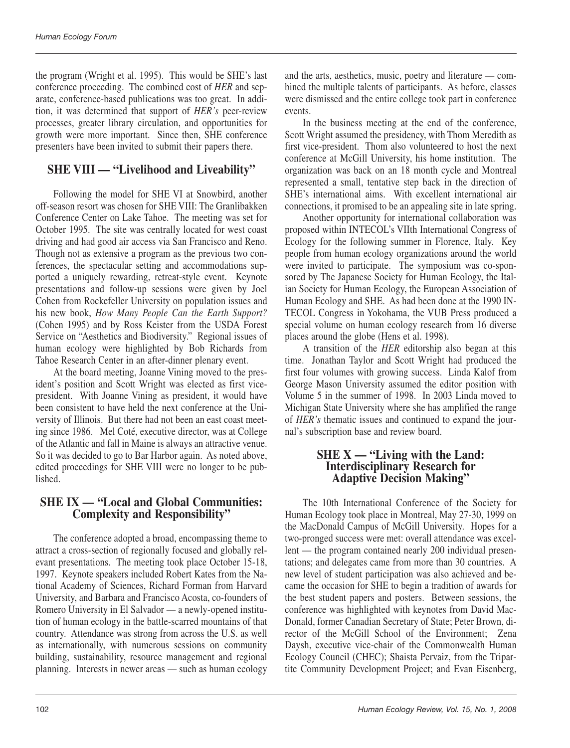the program (Wright et al. 1995). This would be SHE's last conference proceeding. The combined cost of *HER* and separate, conference-based publications was too great. In addition, it was determined that support of *HER's* peer-review processes, greater library circulation, and opportunities for growth were more important. Since then, SHE conference presenters have been invited to submit their papers there.

# **SHE VIII — "Livelihood and Liveability"**

Following the model for SHE VI at Snowbird, another off-season resort was chosen for SHE VIII: The Granlibakken Conference Center on Lake Tahoe. The meeting was set for October 1995. The site was centrally located for west coast driving and had good air access via San Francisco and Reno. Though not as extensive a program as the previous two conferences, the spectacular setting and accommodations supported a uniquely rewarding, retreat-style event. Keynote presentations and follow-up sessions were given by Joel Cohen from Rockefeller University on population issues and his new book, *How Many People Can the Earth Support?* (Cohen 1995) and by Ross Keister from the USDA Forest Service on "Aesthetics and Biodiversity." Regional issues of human ecology were highlighted by Bob Richards from Tahoe Research Center in an after-dinner plenary event.

At the board meeting, Joanne Vining moved to the president's position and Scott Wright was elected as first vicepresident. With Joanne Vining as president, it would have been consistent to have held the next conference at the University of Illinois. But there had not been an east coast meeting since 1986. Mel Coté, executive director, was at College of the Atlantic and fall in Maine is always an attractive venue. So it was decided to go to Bar Harbor again. As noted above, edited proceedings for SHE VIII were no longer to be published.

# **SHE IX — "Local and Global Communities: Complexity and Responsibility"**

The conference adopted a broad, encompassing theme to attract a cross-section of regionally focused and globally relevant presentations. The meeting took place October 15-18, 1997. Keynote speakers included Robert Kates from the National Academy of Sciences, Richard Forman from Harvard University, and Barbara and Francisco Acosta, co-founders of Romero University in El Salvador — a newly-opened institution of human ecology in the battle-scarred mountains of that country. Attendance was strong from across the U.S. as well as internationally, with numerous sessions on community building, sustainability, resource management and regional planning. Interests in newer areas — such as human ecology and the arts, aesthetics, music, poetry and literature — combined the multiple talents of participants. As before, classes were dismissed and the entire college took part in conference events.

In the business meeting at the end of the conference, Scott Wright assumed the presidency, with Thom Meredith as first vice-president. Thom also volunteered to host the next conference at McGill University, his home institution. The organization was back on an 18 month cycle and Montreal represented a small, tentative step back in the direction of SHE's international aims. With excellent international air connections, it promised to be an appealing site in late spring.

Another opportunity for international collaboration was proposed within INTECOL's VIIth International Congress of Ecology for the following summer in Florence, Italy. Key people from human ecology organizations around the world were invited to participate. The symposium was co-sponsored by The Japanese Society for Human Ecology, the Italian Society for Human Ecology, the European Association of Human Ecology and SHE. As had been done at the 1990 IN-TECOL Congress in Yokohama, the VUB Press produced a special volume on human ecology research from 16 diverse places around the globe (Hens et al. 1998).

A transition of the *HER* editorship also began at this time. Jonathan Taylor and Scott Wright had produced the first four volumes with growing success. Linda Kalof from George Mason University assumed the editor position with Volume 5 in the summer of 1998. In 2003 Linda moved to Michigan State University where she has amplified the range of *HER's* thematic issues and continued to expand the journal's subscription base and review board.

## **SHE X — "Living with the Land: Interdisciplinary Research for Adaptive Decision Making"**

The 10th International Conference of the Society for Human Ecology took place in Montreal, May 27-30, 1999 on the MacDonald Campus of McGill University. Hopes for a two-pronged success were met: overall attendance was excellent — the program contained nearly 200 individual presentations; and delegates came from more than 30 countries. A new level of student participation was also achieved and became the occasion for SHE to begin a tradition of awards for the best student papers and posters. Between sessions, the conference was highlighted with keynotes from David Mac-Donald, former Canadian Secretary of State; Peter Brown, director of the McGill School of the Environment; Zena Daysh, executive vice-chair of the Commonwealth Human Ecology Council (CHEC); Shaista Pervaiz, from the Tripartite Community Development Project; and Evan Eisenberg,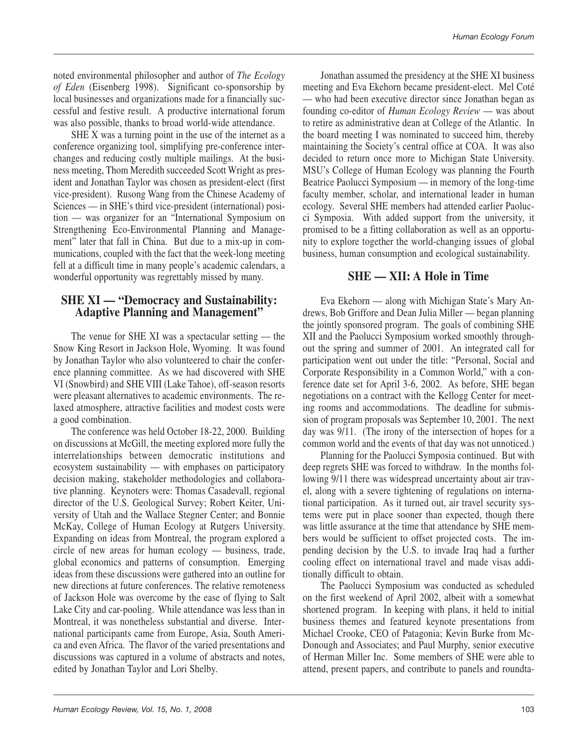noted environmental philosopher and author of *The Ecology of Eden* (Eisenberg 1998). Significant co-sponsorship by local businesses and organizations made for a financially successful and festive result. A productive international forum was also possible, thanks to broad world-wide attendance.

SHE X was a turning point in the use of the internet as a conference organizing tool, simplifying pre-conference interchanges and reducing costly multiple mailings. At the business meeting, Thom Meredith succeeded Scott Wright as president and Jonathan Taylor was chosen as president-elect (first vice-president). Rusong Wang from the Chinese Academy of Sciences — in SHE's third vice-president (international) position — was organizer for an "International Symposium on Strengthening Eco-Environmental Planning and Management" later that fall in China. But due to a mix-up in communications, coupled with the fact that the week-long meeting fell at a difficult time in many people's academic calendars, a wonderful opportunity was regrettably missed by many.

## **SHE XI — "Democracy and Sustainability: Adaptive Planning and Management"**

The venue for SHE XI was a spectacular setting — the Snow King Resort in Jackson Hole, Wyoming. It was found by Jonathan Taylor who also volunteered to chair the conference planning committee. As we had discovered with SHE VI (Snowbird) and SHE VIII (Lake Tahoe), off-season resorts were pleasant alternatives to academic environments. The relaxed atmosphere, attractive facilities and modest costs were a good combination.

The conference was held October 18-22, 2000. Building on discussions at McGill, the meeting explored more fully the interrelationships between democratic institutions and ecosystem sustainability — with emphases on participatory decision making, stakeholder methodologies and collaborative planning. Keynoters were: Thomas Casadevall, regional director of the U.S. Geological Survey; Robert Keiter, University of Utah and the Wallace Stegner Center; and Bonnie McKay, College of Human Ecology at Rutgers University. Expanding on ideas from Montreal, the program explored a circle of new areas for human ecology — business, trade, global economics and patterns of consumption. Emerging ideas from these discussions were gathered into an outline for new directions at future conferences. The relative remoteness of Jackson Hole was overcome by the ease of flying to Salt Lake City and car-pooling. While attendance was less than in Montreal, it was nonetheless substantial and diverse. International participants came from Europe, Asia, South America and even Africa. The flavor of the varied presentations and discussions was captured in a volume of abstracts and notes, edited by Jonathan Taylor and Lori Shelby.

Jonathan assumed the presidency at the SHE XI business meeting and Eva Ekehorn became president-elect. Mel Coté — who had been executive director since Jonathan began as founding co-editor of *Human Ecology Review* — was about to retire as administrative dean at College of the Atlantic. In the board meeting I was nominated to succeed him, thereby maintaining the Society's central office at COA. It was also decided to return once more to Michigan State University. MSU's College of Human Ecology was planning the Fourth Beatrice Paolucci Symposium — in memory of the long-time faculty member, scholar, and international leader in human ecology. Several SHE members had attended earlier Paolucci Symposia. With added support from the university, it promised to be a fitting collaboration as well as an opportunity to explore together the world-changing issues of global business, human consumption and ecological sustainability.

# **SHE — XII: A Hole in Time**

Eva Ekehorn — along with Michigan State's Mary Andrews, Bob Griffore and Dean Julia Miller — began planning the jointly sponsored program. The goals of combining SHE XII and the Paolucci Symposium worked smoothly throughout the spring and summer of 2001. An integrated call for participation went out under the title: "Personal, Social and Corporate Responsibility in a Common World," with a conference date set for April 3-6, 2002. As before, SHE began negotiations on a contract with the Kellogg Center for meeting rooms and accommodations. The deadline for submission of program proposals was September 10, 2001. The next day was 9/11. (The irony of the intersection of hopes for a common world and the events of that day was not unnoticed.)

Planning for the Paolucci Symposia continued. But with deep regrets SHE was forced to withdraw. In the months following 9/11 there was widespread uncertainty about air travel, along with a severe tightening of regulations on international participation. As it turned out, air travel security systems were put in place sooner than expected, though there was little assurance at the time that attendance by SHE members would be sufficient to offset projected costs. The impending decision by the U.S. to invade Iraq had a further cooling effect on international travel and made visas additionally difficult to obtain.

The Paolucci Symposium was conducted as scheduled on the first weekend of April 2002, albeit with a somewhat shortened program. In keeping with plans, it held to initial business themes and featured keynote presentations from Michael Crooke, CEO of Patagonia; Kevin Burke from Mc-Donough and Associates; and Paul Murphy, senior executive of Herman Miller Inc. Some members of SHE were able to attend, present papers, and contribute to panels and roundta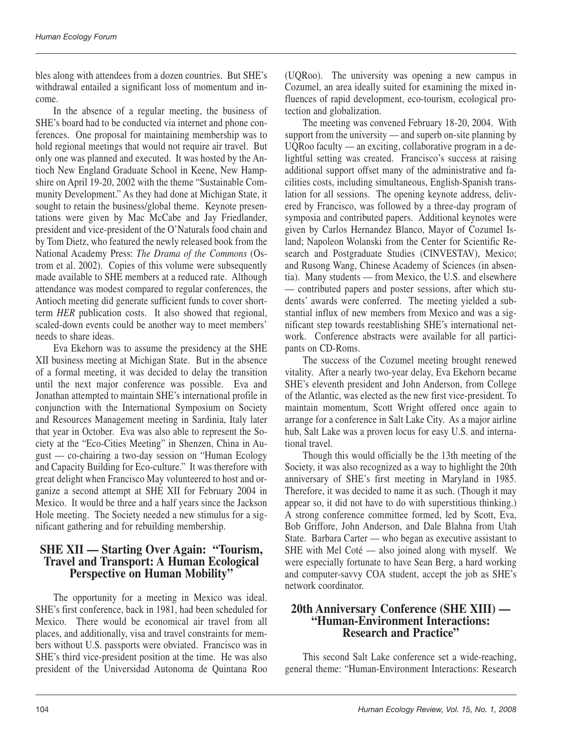bles along with attendees from a dozen countries. But SHE's withdrawal entailed a significant loss of momentum and income.

In the absence of a regular meeting, the business of SHE's board had to be conducted via internet and phone conferences. One proposal for maintaining membership was to hold regional meetings that would not require air travel. But only one was planned and executed. It was hosted by the Antioch New England Graduate School in Keene, New Hampshire on April 19-20, 2002 with the theme "Sustainable Community Development." As they had done at Michigan State, it sought to retain the business/global theme. Keynote presentations were given by Mac McCabe and Jay Friedlander, president and vice-president of the O'Naturals food chain and by Tom Dietz, who featured the newly released book from the National Academy Press: *The Drama of the Commons* (Ostrom et al. 2002). Copies of this volume were subsequently made available to SHE members at a reduced rate. Although attendance was modest compared to regular conferences, the Antioch meeting did generate sufficient funds to cover shortterm *HER* publication costs. It also showed that regional, scaled-down events could be another way to meet members' needs to share ideas.

Eva Ekehorn was to assume the presidency at the SHE XII business meeting at Michigan State. But in the absence of a formal meeting, it was decided to delay the transition until the next major conference was possible. Eva and Jonathan attempted to maintain SHE's international profile in conjunction with the International Symposium on Society and Resources Management meeting in Sardinia, Italy later that year in October. Eva was also able to represent the Society at the "Eco-Cities Meeting" in Shenzen, China in August — co-chairing a two-day session on "Human Ecology and Capacity Building for Eco-culture." It was therefore with great delight when Francisco May volunteered to host and organize a second attempt at SHE XII for February 2004 in Mexico. It would be three and a half years since the Jackson Hole meeting. The Society needed a new stimulus for a significant gathering and for rebuilding membership.

## **SHE XII — Starting Over Again: "Tourism, Travel and Transport: A Human Ecological Perspective on Human Mobility"**

The opportunity for a meeting in Mexico was ideal. SHE's first conference, back in 1981, had been scheduled for Mexico. There would be economical air travel from all places, and additionally, visa and travel constraints for members without U.S. passports were obviated. Francisco was in SHE's third vice-president position at the time. He was also president of the Universidad Autonoma de Quintana Roo (UQRoo). The university was opening a new campus in Cozumel, an area ideally suited for examining the mixed influences of rapid development, eco-tourism, ecological protection and globalization.

The meeting was convened February 18-20, 2004. With support from the university — and superb on-site planning by UQRoo faculty — an exciting, collaborative program in a delightful setting was created. Francisco's success at raising additional support offset many of the administrative and facilities costs, including simultaneous, English-Spanish translation for all sessions. The opening keynote address, delivered by Francisco, was followed by a three-day program of symposia and contributed papers. Additional keynotes were given by Carlos Hernandez Blanco, Mayor of Cozumel Island; Napoleon Wolanski from the Center for Scientific Research and Postgraduate Studies (CINVESTAV), Mexico; and Rusong Wang, Chinese Academy of Sciences (in absentia). Many students — from Mexico, the U.S. and elsewhere — contributed papers and poster sessions, after which students' awards were conferred. The meeting yielded a substantial influx of new members from Mexico and was a significant step towards reestablishing SHE's international network. Conference abstracts were available for all participants on CD-Roms.

The success of the Cozumel meeting brought renewed vitality. After a nearly two-year delay, Eva Ekehorn became SHE's eleventh president and John Anderson, from College of the Atlantic, was elected as the new first vice-president. To maintain momentum, Scott Wright offered once again to arrange for a conference in Salt Lake City. As a major airline hub, Salt Lake was a proven locus for easy U.S. and international travel.

Though this would officially be the 13th meeting of the Society, it was also recognized as a way to highlight the 20th anniversary of SHE's first meeting in Maryland in 1985. Therefore, it was decided to name it as such. (Though it may appear so, it did not have to do with superstitious thinking.) A strong conference committee formed, led by Scott, Eva, Bob Griffore, John Anderson, and Dale Blahna from Utah State. Barbara Carter — who began as executive assistant to SHE with Mel Coté — also joined along with myself. We were especially fortunate to have Sean Berg, a hard working and computer-savvy COA student, accept the job as SHE's network coordinator.

## **20th Anniversary Conference (SHE XIII) — "Human-Environment Interactions: Research and Practice"**

This second Salt Lake conference set a wide-reaching, general theme: "Human-Environment Interactions: Research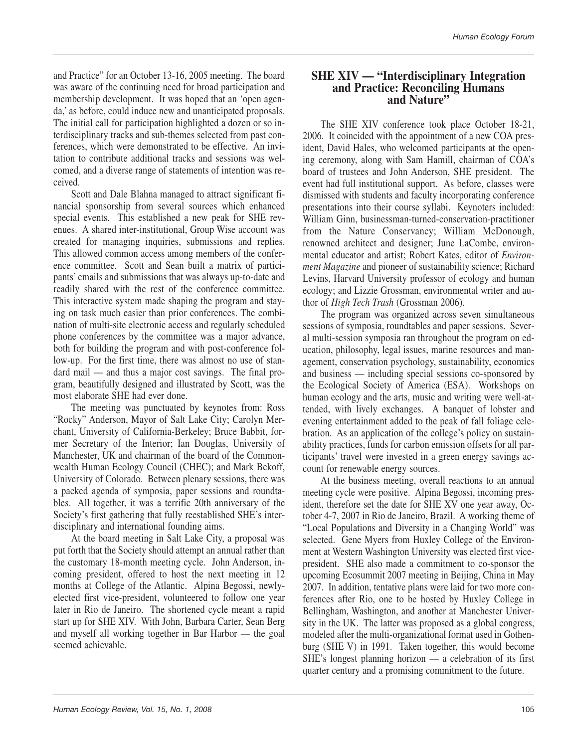and Practice" for an October 13-16, 2005 meeting. The board was aware of the continuing need for broad participation and membership development. It was hoped that an 'open agenda,' as before, could induce new and unanticipated proposals. The initial call for participation highlighted a dozen or so interdisciplinary tracks and sub-themes selected from past conferences, which were demonstrated to be effective. An invitation to contribute additional tracks and sessions was welcomed, and a diverse range of statements of intention was received.

Scott and Dale Blahna managed to attract significant financial sponsorship from several sources which enhanced special events. This established a new peak for SHE revenues. A shared inter-institutional, Group Wise account was created for managing inquiries, submissions and replies. This allowed common access among members of the conference committee. Scott and Sean built a matrix of participants' emails and submissions that was always up-to-date and readily shared with the rest of the conference committee. This interactive system made shaping the program and staying on task much easier than prior conferences. The combination of multi-site electronic access and regularly scheduled phone conferences by the committee was a major advance, both for building the program and with post-conference follow-up. For the first time, there was almost no use of standard mail — and thus a major cost savings. The final program, beautifully designed and illustrated by Scott, was the most elaborate SHE had ever done.

The meeting was punctuated by keynotes from: Ross "Rocky" Anderson, Mayor of Salt Lake City; Carolyn Merchant, University of California-Berkeley; Bruce Babbit, former Secretary of the Interior; Ian Douglas, University of Manchester, UK and chairman of the board of the Commonwealth Human Ecology Council (CHEC); and Mark Bekoff, University of Colorado. Between plenary sessions, there was a packed agenda of symposia, paper sessions and roundtables. All together, it was a terrific 20th anniversary of the Society's first gathering that fully reestablished SHE's interdisciplinary and international founding aims.

At the board meeting in Salt Lake City, a proposal was put forth that the Society should attempt an annual rather than the customary 18-month meeting cycle. John Anderson, incoming president, offered to host the next meeting in 12 months at College of the Atlantic. Alpina Begossi, newlyelected first vice-president, volunteered to follow one year later in Rio de Janeiro. The shortened cycle meant a rapid start up for SHE XIV. With John, Barbara Carter, Sean Berg and myself all working together in Bar Harbor — the goal seemed achievable.

#### **SHE XIV — "Interdisciplinary Integration and Practice: Reconciling Humans and Nature"**

The SHE XIV conference took place October 18-21, 2006. It coincided with the appointment of a new COA president, David Hales, who welcomed participants at the opening ceremony, along with Sam Hamill, chairman of COA's board of trustees and John Anderson, SHE president. The event had full institutional support. As before, classes were dismissed with students and faculty incorporating conference presentations into their course syllabi. Keynoters included: William Ginn, businessman-turned-conservation-practitioner from the Nature Conservancy; William McDonough, renowned architect and designer; June LaCombe, environmental educator and artist; Robert Kates, editor of *Environment Magazine* and pioneer of sustainability science; Richard Levins, Harvard University professor of ecology and human ecology; and Lizzie Grossman, environmental writer and author of *High Tech Trash* (Grossman 2006).

The program was organized across seven simultaneous sessions of symposia, roundtables and paper sessions. Several multi-session symposia ran throughout the program on education, philosophy, legal issues, marine resources and management, conservation psychology, sustainability, economics and business — including special sessions co-sponsored by the Ecological Society of America (ESA). Workshops on human ecology and the arts, music and writing were well-attended, with lively exchanges. A banquet of lobster and evening entertainment added to the peak of fall foliage celebration. As an application of the college's policy on sustainability practices, funds for carbon emission offsets for all participants' travel were invested in a green energy savings account for renewable energy sources.

At the business meeting, overall reactions to an annual meeting cycle were positive. Alpina Begossi, incoming president, therefore set the date for SHE XV one year away, October 4-7, 2007 in Rio de Janeiro, Brazil. A working theme of "Local Populations and Diversity in a Changing World" was selected. Gene Myers from Huxley College of the Environment at Western Washington University was elected first vicepresident. SHE also made a commitment to co-sponsor the upcoming Ecosummit 2007 meeting in Beijing, China in May 2007. In addition, tentative plans were laid for two more conferences after Rio, one to be hosted by Huxley College in Bellingham, Washington, and another at Manchester University in the UK. The latter was proposed as a global congress, modeled after the multi-organizational format used in Gothenburg (SHE V) in 1991. Taken together, this would become SHE's longest planning horizon — a celebration of its first quarter century and a promising commitment to the future.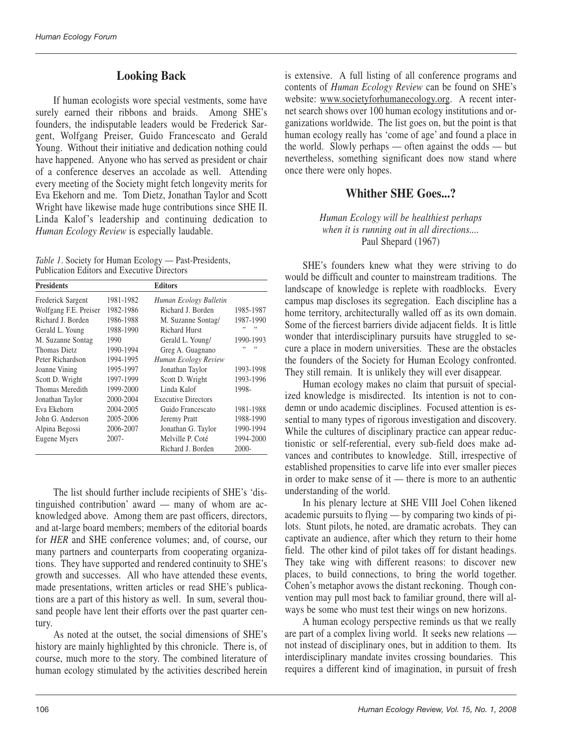# **Looking Back**

If human ecologists wore special vestments, some have surely earned their ribbons and braids. Among SHE's founders, the indisputable leaders would be Frederick Sargent, Wolfgang Preiser, Guido Francescato and Gerald Young. Without their initiative and dedication nothing could have happened. Anyone who has served as president or chair of a conference deserves an accolade as well. Attending every meeting of the Society might fetch longevity merits for Eva Ekehorn and me. Tom Dietz, Jonathan Taylor and Scott Wright have likewise made huge contributions since SHE II. Linda Kalof's leadership and continuing dedication to *Human Ecology Review* is especially laudable.

|                                             | Table 1. Society for Human Ecology — Past-Presidents, |
|---------------------------------------------|-------------------------------------------------------|
| Publication Editors and Executive Directors |                                                       |

| <b>Presidents</b>     |           | Editors                    |           |
|-----------------------|-----------|----------------------------|-----------|
| Frederick Sargent     | 1981-1982 | Human Ecology Bulletin     |           |
| Wolfgang F.E. Preiser | 1982-1986 | Richard J. Borden          | 1985-1987 |
| Richard J. Borden     | 1986-1988 | M. Suzanne Sontag/         | 1987-1990 |
| Gerald L. Young       | 1988-1990 | <b>Richard Hurst</b>       | ,,<br>,,  |
| M. Suzanne Sontag     | 1990      | Gerald L. Young/           | 1990-1993 |
| Thomas Dietz          | 1990-1994 | Greg A. Guagnano           |           |
| Peter Richardson      | 1994-1995 | Human Ecology Review       |           |
| Joanne Vining         | 1995-1997 | Jonathan Taylor            | 1993-1998 |
| Scott D. Wright       | 1997-1999 | Scott D. Wright            | 1993-1996 |
| Thomas Meredith       | 1999-2000 | Linda Kalof                | 1998-     |
| Jonathan Taylor       | 2000-2004 | <b>Executive Directors</b> |           |
| Eva Ekehorn           | 2004-2005 | Guido Francescato          | 1981-1988 |
| John G. Anderson      | 2005-2006 | Jeremy Pratt               | 1988-1990 |
| Alpina Begossi        | 2006-2007 | Jonathan G. Taylor         | 1990-1994 |
| Eugene Myers          | 2007-     | Melville P. Coté           | 1994-2000 |
|                       |           | Richard J. Borden          | 2000-     |

The list should further include recipients of SHE's 'distinguished contribution' award — many of whom are acknowledged above. Among them are past officers, directors, and at-large board members; members of the editorial boards for *HER* and SHE conference volumes; and, of course, our many partners and counterparts from cooperating organizations. They have supported and rendered continuity to SHE's growth and successes. All who have attended these events, made presentations, written articles or read SHE's publications are a part of this history as well. In sum, several thousand people have lent their efforts over the past quarter century.

As noted at the outset, the social dimensions of SHE's history are mainly highlighted by this chronicle. There is, of course, much more to the story. The combined literature of human ecology stimulated by the activities described herein is extensive. A full listing of all conference programs and contents of *Human Ecology Review* can be found on SHE's website: www.societyforhumanecology.org. A recent internet search shows over 100 human ecology institutions and organizations worldwide. The list goes on, but the point is that human ecology really has 'come of age' and found a place in the world. Slowly perhaps — often against the odds — but nevertheless, something significant does now stand where once there were only hopes.

# **Whither SHE Goes...?**

*Human Ecology will be healthiest perhaps when it is running out in all directions....* Paul Shepard (1967)

SHE's founders knew what they were striving to do would be difficult and counter to mainstream traditions. The landscape of knowledge is replete with roadblocks. Every campus map discloses its segregation. Each discipline has a home territory, architecturally walled off as its own domain. Some of the fiercest barriers divide adjacent fields. It is little wonder that interdisciplinary pursuits have struggled to secure a place in modern universities. These are the obstacles the founders of the Society for Human Ecology confronted. They still remain. It is unlikely they will ever disappear.

Human ecology makes no claim that pursuit of specialized knowledge is misdirected. Its intention is not to condemn or undo academic disciplines. Focused attention is essential to many types of rigorous investigation and discovery. While the cultures of disciplinary practice can appear reductionistic or self-referential, every sub-field does make advances and contributes to knowledge. Still, irrespective of established propensities to carve life into ever smaller pieces in order to make sense of it — there is more to an authentic understanding of the world.

In his plenary lecture at SHE VIII Joel Cohen likened academic pursuits to flying — by comparing two kinds of pilots. Stunt pilots, he noted, are dramatic acrobats. They can captivate an audience, after which they return to their home field. The other kind of pilot takes off for distant headings. They take wing with different reasons: to discover new places, to build connections, to bring the world together. Cohen's metaphor avows the distant reckoning. Though convention may pull most back to familiar ground, there will always be some who must test their wings on new horizons.

A human ecology perspective reminds us that we really are part of a complex living world. It seeks new relations not instead of disciplinary ones, but in addition to them. Its interdisciplinary mandate invites crossing boundaries. This requires a different kind of imagination, in pursuit of fresh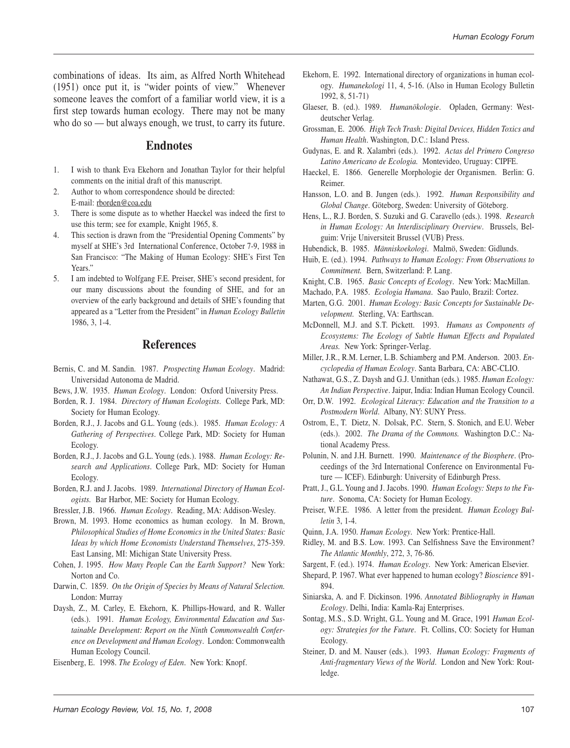combinations of ideas. Its aim, as Alfred North Whitehead (1951) once put it, is "wider points of view." Whenever someone leaves the comfort of a familiar world view, it is a first step towards human ecology. There may not be many who do so — but always enough, we trust, to carry its future.

## **Endnotes**

- 1. I wish to thank Eva Ekehorn and Jonathan Taylor for their helpful comments on the initial draft of this manuscript.
- 2. Author to whom correspondence should be directed: E-mail: rborden@coa.edu
- 3. There is some dispute as to whether Haeckel was indeed the first to use this term; see for example, Knight 1965, 8.
- 4. This section is drawn from the "Presidential Opening Comments" by myself at SHE's 3rd International Conference, October 7-9, 1988 in San Francisco: "The Making of Human Ecology: SHE's First Ten Years."
- 5. I am indebted to Wolfgang F.E. Preiser, SHE's second president, for our many discussions about the founding of SHE, and for an overview of the early background and details of SHE's founding that appeared as a "Letter from the President" in *Human Ecology Bulletin* 1986, 3, 1-4.

#### **References**

- Bernis, C. and M. Sandin. 1987. *Prospecting Human Ecology*. Madrid: Universidad Autonoma de Madrid.
- Bews, J.W. 1935. *Human Ecology*. London: Oxford University Press.
- Borden, R. J. 1984. *Directory of Human Ecologists*. College Park, MD: Society for Human Ecology.
- Borden, R.J., J. Jacobs and G.L. Young (eds.). 1985. *Human Ecology: A Gathering of Perspectives*. College Park, MD: Society for Human Ecology.
- Borden, R.J., J. Jacobs and G.L. Young (eds.). 1988. *Human Ecology: Research and Applications*. College Park, MD: Society for Human Ecology.
- Borden, R.J. and J. Jacobs. 1989. *International Directory of Human Ecologists.* Bar Harbor, ME: Society for Human Ecology.
- Bressler, J.B. 1966. *Human Ecology*. Reading, MA: Addison-Wesley.
- Brown, M. 1993. Home economics as human ecology. In M. Brown, *Philosophical Studies of Home Economics in the United States: Basic Ideas by which Home Economists Understand Themselves*, 275-359. East Lansing, MI: Michigan State University Press.
- Cohen, J. 1995. *How Many People Can the Earth Support?* New York: Norton and Co.
- Darwin, C. 1859. *On the Origin of Species by Means of Natural Selection.* London: Murray
- Daysh, Z., M. Carley, E. Ekehorn, K. Phillips-Howard, and R. Waller (eds.). 1991. *Human Ecology, Environmental Education and Sustainable Development: Report on the Ninth Commonwealth Conference on Development and Human Ecology*. London: Commonwealth Human Ecology Council.
- Eisenberg, E. 1998. *The Ecology of Eden*. New York: Knopf.
- Ekehorn, E. 1992. International directory of organizations in human ecology. *Humanekologi* 11, 4, 5-16. (Also in Human Ecology Bulletin 1992, 8, 51-71)
- Glaeser, B. (ed.). 1989. *Humanökologie*. Opladen, Germany: Westdeutscher Verlag.
- Grossman, E. 2006. *High Tech Trash: Digital Devices, Hidden Toxics and Human Health*. Washington, D.C.: Island Press.
- Gudynas, E. and R. Xalambri (eds.). 1992. *Actas del Primero Congreso Latino Americano de Ecologia.* Montevideo, Uruguay: CIPFE.
- Haeckel, E. 1866. Generelle Morphologie der Organismen. Berlin: G. Reimer.
- Hansson, L.O. and B. Jungen (eds.). 1992. *Human Responsibility and Global Change*. Göteborg, Sweden: University of Göteborg.
- Hens, L., R.J. Borden, S. Suzuki and G. Caravello (eds.). 1998. *Research in Human Ecology: An Interdisciplinary Overview*. Brussels, Belguim: Vrije Universiteit Brussel (VUB) Press.
- Hubendick, B. 1985. *Människoekologi*. Malmö, Sweden: Gidlunds.
- Huib, E. (ed.). 1994. *Pathways to Human Ecology: From Observations to Commitment.* Bern, Switzerland: P. Lang.
- Knight, C.B. 1965. *Basic Concepts of Ecology*. New York: MacMillan.
- Machado, P.A. 1985. *Ecologia Humana*. Sao Paulo, Brazil: Cortez.
- Marten, G.G. 2001. *Human Ecology: Basic Concepts for Sustainable Development.* Sterling, VA: Earthscan.
- McDonnell, M.J. and S.T. Pickett. 1993. *Humans as Components of Ecosystems: The Ecology of Subtle Human Effects and Populated Areas.* New York: Springer-Verlag.
- Miller, J.R., R.M. Lerner, L.B. Schiamberg and P.M. Anderson. 2003. *Encyclopedia of Human Ecology*. Santa Barbara, CA: ABC-CLIO.
- Nathawat, G.S., Z. Daysh and G.J. Unnithan (eds.). 1985. *Human Ecology: An Indian Perspective*. Jaipur, India: Indian Human Ecology Council.
- Orr, D.W. 1992. *Ecological Literacy: Education and the Transition to a Postmodern World*. Albany, NY: SUNY Press.
- Ostrom, E., T. Dietz, N. Dolsak, P.C. Stern, S. Stonich, and E.U. Weber (eds.). 2002. *The Drama of the Commons.* Washington D.C.: National Academy Press.
- Polunin, N. and J.H. Burnett. 1990. *Maintenance of the Biosphere*. (Proceedings of the 3rd International Conference on Environmental Future — ICEF). Edinburgh: University of Edinburgh Press.
- Pratt, J., G.L. Young and J. Jacobs. 1990. *Human Ecology: Steps to the Future*. Sonoma, CA: Society for Human Ecology.
- Preiser, W.F.E. 1986. A letter from the president. *Human Ecology Bulletin* 3, 1-4.
- Quinn, J.A. 1950. *Human Ecology*. New York: Prentice-Hall.
- Ridley, M. and B.S. Low. 1993. Can Selfishness Save the Environment? *The Atlantic Monthly*, 272, 3, 76-86.
- Sargent, F. (ed.). 1974. *Human Ecology*. New York: American Elsevier.
- Shepard, P. 1967. What ever happened to human ecology? *Bioscience* 891- 894.
- Siniarska, A. and F. Dickinson. 1996. *Annotated Bibliography in Human Ecology*. Delhi, India: Kamla-Raj Enterprises.
- Sontag, M.S., S.D. Wright, G.L. Young and M. Grace, 1991 *Human Ecology: Strategies for the Future*. Ft. Collins, CO: Society for Human Ecology.
- Steiner, D. and M. Nauser (eds.). 1993. *Human Ecology: Fragments of Anti-fragmentary Views of the World*. London and New York: Routledge.